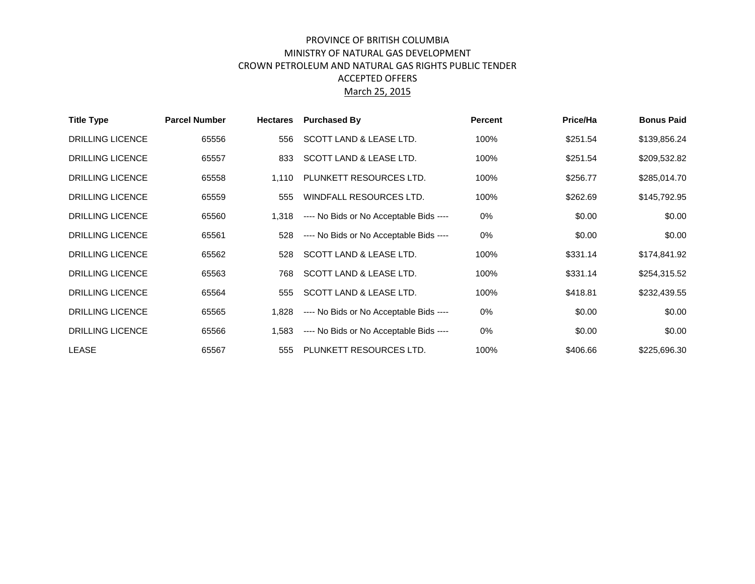## PROVINCE OF BRITISH COLUMBIA MINISTRY OF NATURAL GAS DEVELOPMENT CROWN PETROLEUM AND NATURAL GAS RIGHTS PUBLIC TENDER ACCEPTED OFFERS March 25, 2015

| <b>Title Type</b>       | <b>Parcel Number</b> | <b>Hectares</b> | <b>Purchased By</b>                     | <b>Percent</b> | Price/Ha | <b>Bonus Paid</b> |
|-------------------------|----------------------|-----------------|-----------------------------------------|----------------|----------|-------------------|
| <b>DRILLING LICENCE</b> | 65556                | 556             | SCOTT LAND & LEASE LTD.                 | 100%           | \$251.54 | \$139,856.24      |
| <b>DRILLING LICENCE</b> | 65557                | 833             | SCOTT LAND & LEASE LTD.                 | 100%           | \$251.54 | \$209,532.82      |
| <b>DRILLING LICENCE</b> | 65558                | 1.110           | PLUNKETT RESOURCES LTD.                 | 100%           | \$256.77 | \$285,014.70      |
| <b>DRILLING LICENCE</b> | 65559                | 555             | WINDFALL RESOURCES LTD.                 | 100%           | \$262.69 | \$145,792.95      |
| <b>DRILLING LICENCE</b> | 65560                | 1.318           | ---- No Bids or No Acceptable Bids ---- | 0%             | \$0.00   | \$0.00            |
| <b>DRILLING LICENCE</b> | 65561                | 528             | ---- No Bids or No Acceptable Bids ---- | 0%             | \$0.00   | \$0.00            |
| <b>DRILLING LICENCE</b> | 65562                | 528             | SCOTT LAND & LEASE LTD.                 | 100%           | \$331.14 | \$174,841.92      |
| <b>DRILLING LICENCE</b> | 65563                | 768             | SCOTT LAND & LEASE LTD.                 | 100%           | \$331.14 | \$254,315.52      |
| <b>DRILLING LICENCE</b> | 65564                | 555             | SCOTT LAND & LEASE LTD.                 | 100%           | \$418.81 | \$232,439.55      |
| <b>DRILLING LICENCE</b> | 65565                | 1,828           | ---- No Bids or No Acceptable Bids ---- | 0%             | \$0.00   | \$0.00            |
| <b>DRILLING LICENCE</b> | 65566                | 1,583           | ---- No Bids or No Acceptable Bids ---- | 0%             | \$0.00   | \$0.00            |
| LEASE                   | 65567                | 555             | PLUNKETT RESOURCES LTD.                 | 100%           | \$406.66 | \$225,696.30      |